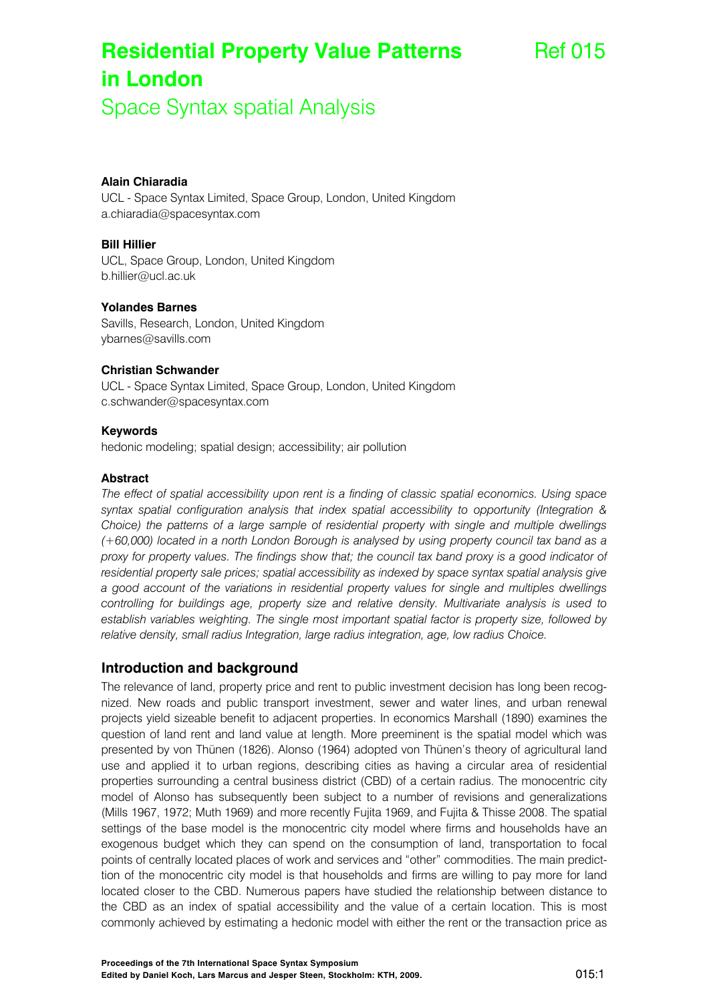# **Residential Property Value Patterns in London**

Space Syntax spatial Analysis

## **Alain Chiaradia**

UCL - Space Syntax Limited, Space Group, London, United Kingdom a.chiaradia@spacesyntax.com

### **Bill Hillier**

UCL, Space Group, London, United Kingdom b.hillier@ucl.ac.uk

## **Yolandes Barnes**

Savills, Research, London, United Kingdom ybarnes@savills.com

#### **Christian Schwander**

UCL - Space Syntax Limited, Space Group, London, United Kingdom c.schwander@spacesyntax.com

#### **Keywords**

hedonic modeling; spatial design; accessibility; air pollution

#### **Abstract**

*The effect of spatial accessibility upon rent is a finding of classic spatial economics. Using space syntax spatial configuration analysis that index spatial accessibility to opportunity (Integration & Choice) the patterns of a large sample of residential property with single and multiple dwellings (+60,000) located in a north London Borough is analysed by using property council tax band as a proxy for property values. The findings show that; the council tax band proxy is a good indicator of residential property sale prices; spatial accessibility as indexed by space syntax spatial analysis give a good account of the variations in residential property values for single and multiples dwellings controlling for buildings age, property size and relative density. Multivariate analysis is used to establish variables weighting. The single most important spatial factor is property size, followed by relative density, small radius Integration, large radius integration, age, low radius Choice.* 

## **Introduction and background**

The relevance of land, property price and rent to public investment decision has long been recognized. New roads and public transport investment, sewer and water lines, and urban renewal projects yield sizeable benefit to adjacent properties. In economics Marshall (1890) examines the question of land rent and land value at length. More preeminent is the spatial model which was presented by von Thünen (1826). Alonso (1964) adopted von Thünen's theory of agricultural land use and applied it to urban regions, describing cities as having a circular area of residential properties surrounding a central business district (CBD) of a certain radius. The monocentric city model of Alonso has subsequently been subject to a number of revisions and generalizations (Mills 1967, 1972; Muth 1969) and more recently Fujita 1969, and Fujita & Thisse 2008. The spatial settings of the base model is the monocentric city model where firms and households have an exogenous budget which they can spend on the consumption of land, transportation to focal points of centrally located places of work and services and "other" commodities. The main predicttion of the monocentric city model is that households and firms are willing to pay more for land located closer to the CBD. Numerous papers have studied the relationship between distance to the CBD as an index of spatial accessibility and the value of a certain location. This is most commonly achieved by estimating a hedonic model with either the rent or the transaction price as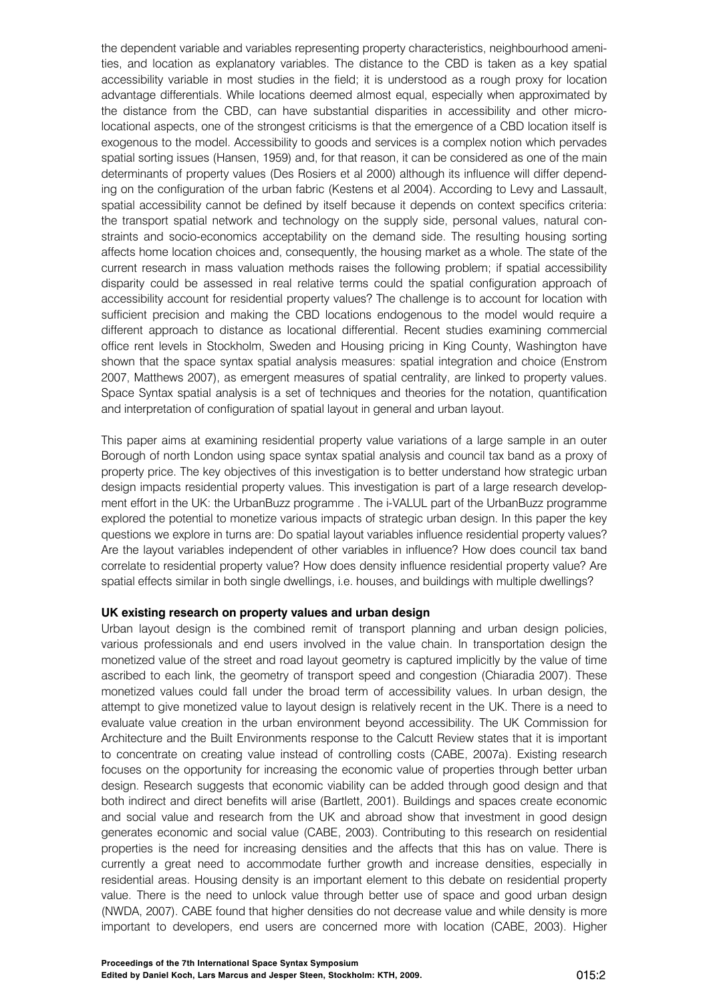the dependent variable and variables representing property characteristics, neighbourhood amenities, and location as explanatory variables. The distance to the CBD is taken as a key spatial accessibility variable in most studies in the field; it is understood as a rough proxy for location advantage differentials. While locations deemed almost equal, especially when approximated by the distance from the CBD, can have substantial disparities in accessibility and other microlocational aspects, one of the strongest criticisms is that the emergence of a CBD location itself is exogenous to the model. Accessibility to goods and services is a complex notion which pervades spatial sorting issues (Hansen, 1959) and, for that reason, it can be considered as one of the main determinants of property values (Des Rosiers et al 2000) although its influence will differ depending on the configuration of the urban fabric (Kestens et al 2004). According to Levy and Lassault, spatial accessibility cannot be defined by itself because it depends on context specifics criteria: the transport spatial network and technology on the supply side, personal values, natural constraints and socio-economics acceptability on the demand side. The resulting housing sorting affects home location choices and, consequently, the housing market as a whole. The state of the current research in mass valuation methods raises the following problem; if spatial accessibility disparity could be assessed in real relative terms could the spatial configuration approach of accessibility account for residential property values? The challenge is to account for location with sufficient precision and making the CBD locations endogenous to the model would require a different approach to distance as locational differential. Recent studies examining commercial office rent levels in Stockholm, Sweden and Housing pricing in King County, Washington have shown that the space syntax spatial analysis measures: spatial integration and choice (Enstrom 2007, Matthews 2007), as emergent measures of spatial centrality, are linked to property values. Space Syntax spatial analysis is a set of techniques and theories for the notation, quantification and interpretation of configuration of spatial layout in general and urban layout.

This paper aims at examining residential property value variations of a large sample in an outer Borough of north London using space syntax spatial analysis and council tax band as a proxy of property price. The key objectives of this investigation is to better understand how strategic urban design impacts residential property values. This investigation is part of a large research development effort in the UK: the UrbanBuzz programme . The i-VALUL part of the UrbanBuzz programme explored the potential to monetize various impacts of strategic urban design. In this paper the key questions we explore in turns are: Do spatial layout variables influence residential property values? Are the layout variables independent of other variables in influence? How does council tax band correlate to residential property value? How does density influence residential property value? Are spatial effects similar in both single dwellings, i.e. houses, and buildings with multiple dwellings?

#### **UK existing research on property values and urban design**

Urban layout design is the combined remit of transport planning and urban design policies, various professionals and end users involved in the value chain. In transportation design the monetized value of the street and road layout geometry is captured implicitly by the value of time ascribed to each link, the geometry of transport speed and congestion (Chiaradia 2007). These monetized values could fall under the broad term of accessibility values. In urban design, the attempt to give monetized value to layout design is relatively recent in the UK. There is a need to evaluate value creation in the urban environment beyond accessibility. The UK Commission for Architecture and the Built Environments response to the Calcutt Review states that it is important to concentrate on creating value instead of controlling costs (CABE, 2007a). Existing research focuses on the opportunity for increasing the economic value of properties through better urban design. Research suggests that economic viability can be added through good design and that both indirect and direct benefits will arise (Bartlett, 2001). Buildings and spaces create economic and social value and research from the UK and abroad show that investment in good design generates economic and social value (CABE, 2003). Contributing to this research on residential properties is the need for increasing densities and the affects that this has on value. There is currently a great need to accommodate further growth and increase densities, especially in residential areas. Housing density is an important element to this debate on residential property value. There is the need to unlock value through better use of space and good urban design (NWDA, 2007). CABE found that higher densities do not decrease value and while density is more important to developers, end users are concerned more with location (CABE, 2003). Higher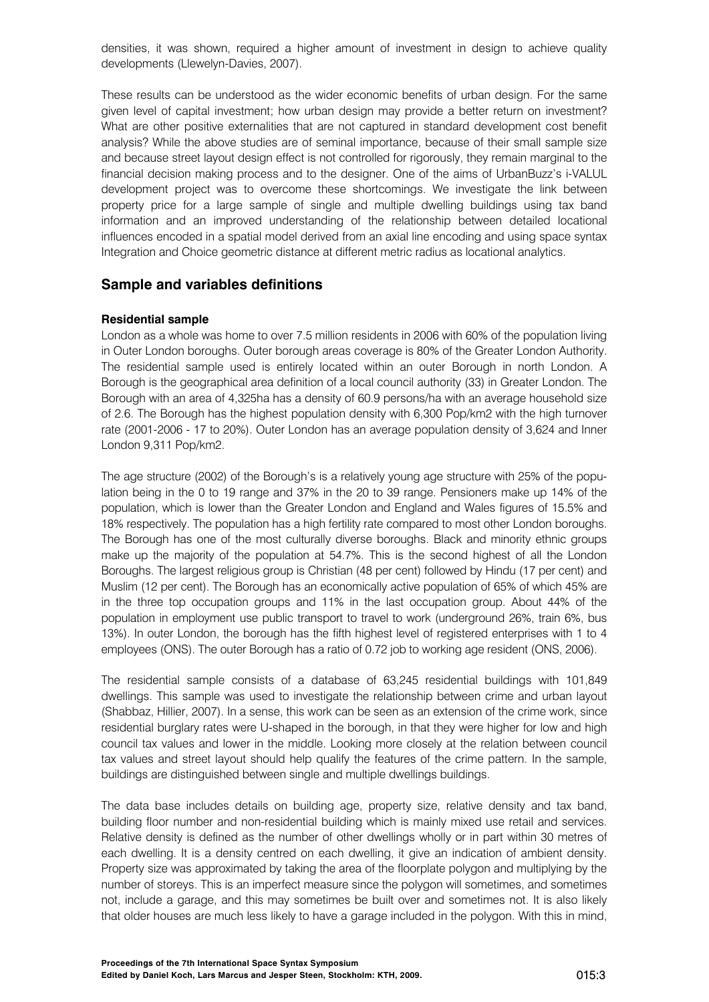densities, it was shown, required a higher amount of investment in design to achieve quality developments (Llewelyn-Davies, 2007).

These results can be understood as the wider economic benefits of urban design. For the same given level of capital investment; how urban design may provide a better return on investment? What are other positive externalities that are not captured in standard development cost benefit analysis? While the above studies are of seminal importance, because of their small sample size and because street layout design effect is not controlled for rigorously, they remain marginal to the financial decision making process and to the designer. One of the aims of UrbanBuzz's i-VALUL development project was to overcome these shortcomings. We investigate the link between property price for a large sample of single and multiple dwelling buildings using tax band information and an improved understanding of the relationship between detailed locational influences encoded in a spatial model derived from an axial line encoding and using space syntax Integration and Choice geometric distance at different metric radius as locational analytics.

## **Sample and variables definitions**

## **Residential sample**

London as a whole was home to over 7.5 million residents in 2006 with 60% of the population living in Outer London boroughs. Outer borough areas coverage is 80% of the Greater London Authority. The residential sample used is entirely located within an outer Borough in north London. A Borough is the geographical area definition of a local council authority (33) in Greater London. The Borough with an area of 4,325ha has a density of 60.9 persons/ha with an average household size of 2.6. The Borough has the highest population density with 6,300 Pop/km2 with the high turnover rate (2001-2006 - 17 to 20%). Outer London has an average population density of 3,624 and Inner London 9,311 Pop/km2.

The age structure (2002) of the Borough's is a relatively young age structure with 25% of the population being in the 0 to 19 range and 37% in the 20 to 39 range. Pensioners make up 14% of the population, which is lower than the Greater London and England and Wales figures of 15.5% and 18% respectively. The population has a high fertility rate compared to most other London boroughs. The Borough has one of the most culturally diverse boroughs. Black and minority ethnic groups make up the majority of the population at 54.7%. This is the second highest of all the London Boroughs. The largest religious group is Christian (48 per cent) followed by Hindu (17 per cent) and Muslim (12 per cent). The Borough has an economically active population of 65% of which 45% are in the three top occupation groups and 11% in the last occupation group. About 44% of the population in employment use public transport to travel to work (underground 26%, train 6%, bus 13%). In outer London, the borough has the fifth highest level of registered enterprises with 1 to 4 employees (ONS). The outer Borough has a ratio of 0.72 job to working age resident (ONS, 2006).

The residential sample consists of a database of 63,245 residential buildings with 101,849 dwellings. This sample was used to investigate the relationship between crime and urban layout (Shabbaz, Hillier, 2007). In a sense, this work can be seen as an extension of the crime work, since residential burglary rates were U-shaped in the borough, in that they were higher for low and high council tax values and lower in the middle. Looking more closely at the relation between council tax values and street layout should help qualify the features of the crime pattern. In the sample, buildings are distinguished between single and multiple dwellings buildings.

The data base includes details on building age, property size, relative density and tax band, building floor number and non-residential building which is mainly mixed use retail and services. Relative density is defined as the number of other dwellings wholly or in part within 30 metres of each dwelling. It is a density centred on each dwelling, it give an indication of ambient density. Property size was approximated by taking the area of the floorplate polygon and multiplying by the number of storeys. This is an imperfect measure since the polygon will sometimes, and sometimes not, include a garage, and this may sometimes be built over and sometimes not. It is also likely that older houses are much less likely to have a garage included in the polygon. With this in mind,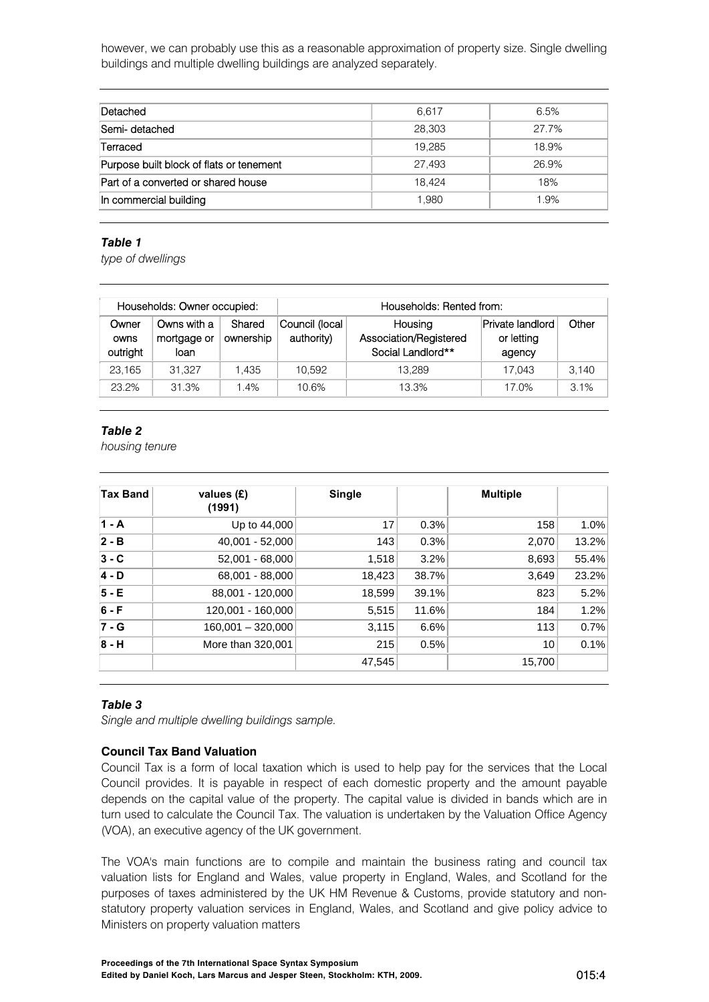however, we can probably use this as a reasonable approximation of property size. Single dwelling buildings and multiple dwelling buildings are analyzed separately.

| Detached                                 | 6.617  | 6.5%  |
|------------------------------------------|--------|-------|
| Semi- detached                           | 28,303 | 27.7% |
| Terraced                                 | 19.285 | 18.9% |
| Purpose built block of flats or tenement | 27.493 | 26.9% |
| Part of a converted or shared house      | 18.424 | 18%   |
| In commercial building                   | 1.980  | 1.9%  |

#### *Table 1*

*type of dwellings* 

|                           | Households: Owner occupied:        |                     |                              | Households: Rented from:                               |                                          |       |  |  |  |
|---------------------------|------------------------------------|---------------------|------------------------------|--------------------------------------------------------|------------------------------------------|-------|--|--|--|
| Owner<br>owns<br>outright | Owns with a<br>mortgage or<br>loan | Shared<br>ownership | Council (local<br>authority) | Housing<br>Association/Registered<br>Social Landlord** | Private landlord<br>or letting<br>agency | Other |  |  |  |
| 23.165                    | 31.327                             | 1.435               | 10.592                       | 13.289                                                 | 17.043                                   | 3.140 |  |  |  |
| 23.2%                     | 31.3%                              | 1.4%                | 10.6%                        | 13.3%                                                  | 17.0%                                    | 3.1%  |  |  |  |

## *Table 2*

*housing tenure* 

| <b>Tax Band</b> | values (£)<br>(1991) | Single |       | <b>Multiple</b> |       |
|-----------------|----------------------|--------|-------|-----------------|-------|
| $1 - A$         | Up to 44,000         | 17     | 0.3%  | 158             | 1.0%  |
| $2 - B$         | 40,001 - 52,000      | 143    | 0.3%  | 2,070           | 13.2% |
| $3 - C$         | 52,001 - 68,000      | 1,518  | 3.2%  | 8,693           | 55.4% |
| $4 - D$         | 68,001 - 88,000      | 18,423 | 38.7% | 3.649           | 23.2% |
| $5 - E$         | 88,001 - 120,000     | 18,599 | 39.1% | 823             | 5.2%  |
| $6 - F$         | 120,001 - 160,000    | 5,515  | 11.6% | 184             | 1.2%  |
| $7 - G$         | $160,001 - 320,000$  | 3,115  | 6.6%  | 113             | 0.7%  |
| $8 - H$         | More than 320,001    | 215    | 0.5%  | 10              | 0.1%  |
|                 |                      | 47,545 |       | 15,700          |       |

## *Table 3*

*Single and multiple dwelling buildings sample.* 

## **Council Tax Band Valuation**

Council Tax is a form of local taxation which is used to help pay for the services that the Local Council provides. It is payable in respect of each domestic property and the amount payable depends on the capital value of the property. The capital value is divided in bands which are in turn used to calculate the Council Tax. The valuation is undertaken by the Valuation Office Agency (VOA), an executive agency of the UK government.

The VOA's main functions are to compile and maintain the business rating and council tax valuation lists for England and Wales, value property in England, Wales, and Scotland for the purposes of taxes administered by the UK HM Revenue & Customs, provide statutory and nonstatutory property valuation services in England, Wales, and Scotland and give policy advice to Ministers on property valuation matters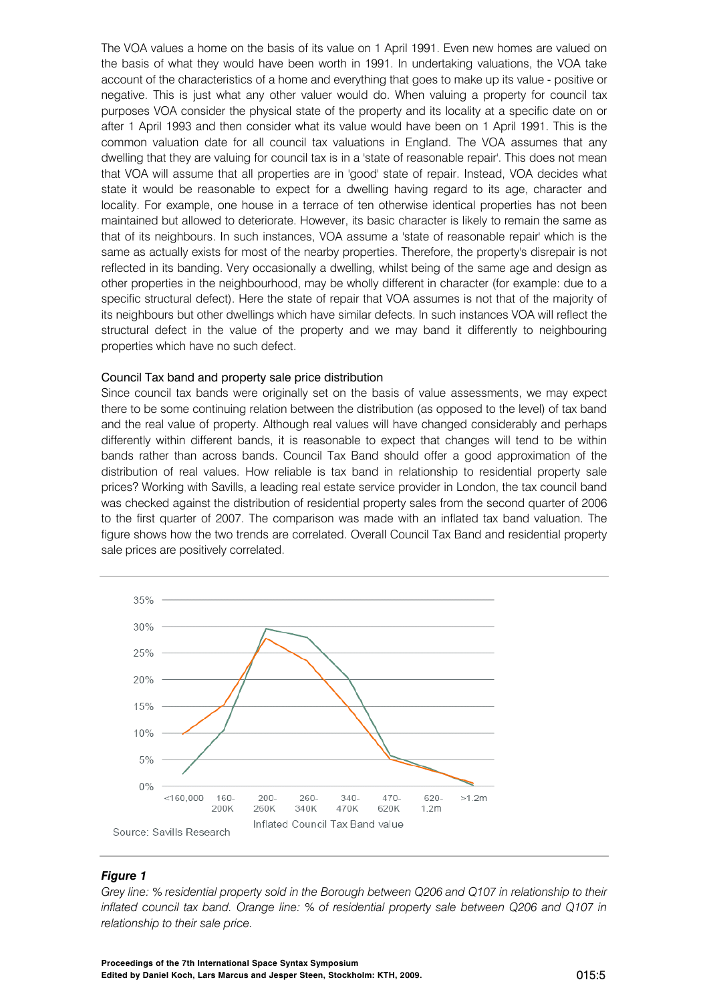The VOA values a home on the basis of its value on 1 April 1991. Even new homes are valued on the basis of what they would have been worth in 1991. In undertaking valuations, the VOA take account of the characteristics of a home and everything that goes to make up its value - positive or negative. This is just what any other valuer would do. When valuing a property for council tax purposes VOA consider the physical state of the property and its locality at a specific date on or after 1 April 1993 and then consider what its value would have been on 1 April 1991. This is the common valuation date for all council tax valuations in England. The VOA assumes that any dwelling that they are valuing for council tax is in a 'state of reasonable repair'. This does not mean that VOA will assume that all properties are in 'good' state of repair. Instead, VOA decides what state it would be reasonable to expect for a dwelling having regard to its age, character and locality. For example, one house in a terrace of ten otherwise identical properties has not been maintained but allowed to deteriorate. However, its basic character is likely to remain the same as that of its neighbours. In such instances, VOA assume a 'state of reasonable repair' which is the same as actually exists for most of the nearby properties. Therefore, the property's disrepair is not reflected in its banding. Very occasionally a dwelling, whilst being of the same age and design as other properties in the neighbourhood, may be wholly different in character (for example: due to a specific structural defect). Here the state of repair that VOA assumes is not that of the majority of its neighbours but other dwellings which have similar defects. In such instances VOA will reflect the structural defect in the value of the property and we may band it differently to neighbouring properties which have no such defect.

#### Council Tax band and property sale price distribution

Since council tax bands were originally set on the basis of value assessments, we may expect there to be some continuing relation between the distribution (as opposed to the level) of tax band and the real value of property. Although real values will have changed considerably and perhaps differently within different bands, it is reasonable to expect that changes will tend to be within bands rather than across bands. Council Tax Band should offer a good approximation of the distribution of real values. How reliable is tax band in relationship to residential property sale prices? Working with Savills, a leading real estate service provider in London, the tax council band was checked against the distribution of residential property sales from the second quarter of 2006 to the first quarter of 2007. The comparison was made with an inflated tax band valuation. The figure shows how the two trends are correlated. Overall Council Tax Band and residential property sale prices are positively correlated.



#### *Figure 1*

*Grey line: % residential property sold in the Borough between Q206 and Q107 in relationship to their inflated council tax band. Orange line: % of residential property sale between Q206 and Q107 in relationship to their sale price.*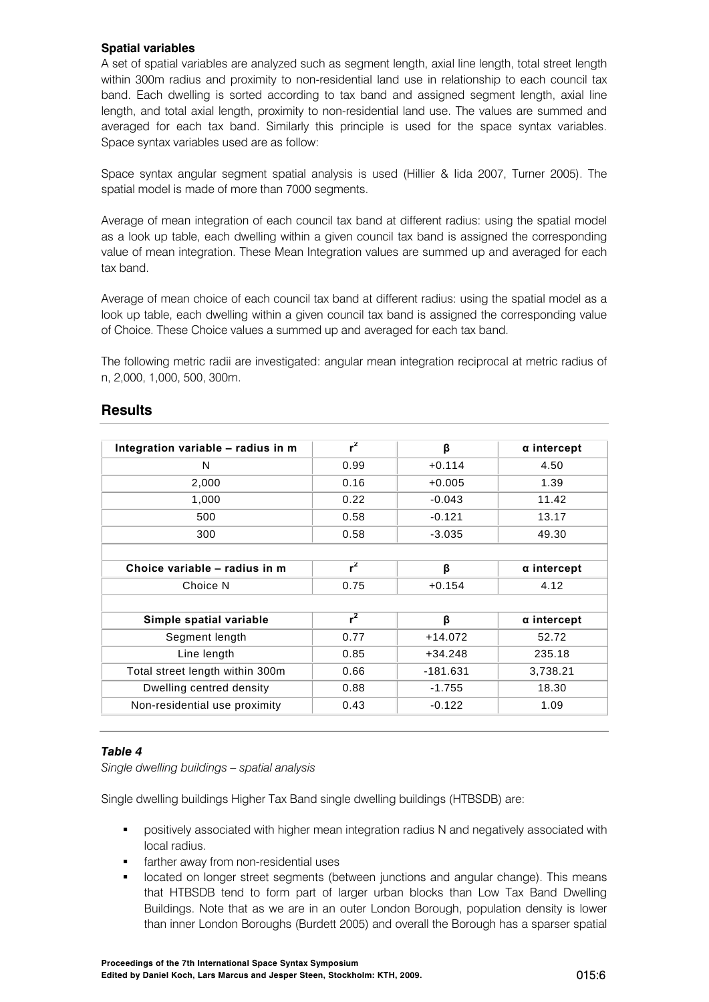## **Spatial variables**

A set of spatial variables are analyzed such as segment length, axial line length, total street length within 300m radius and proximity to non-residential land use in relationship to each council tax band. Each dwelling is sorted according to tax band and assigned segment length, axial line length, and total axial length, proximity to non-residential land use. The values are summed and averaged for each tax band. Similarly this principle is used for the space syntax variables. Space syntax variables used are as follow:

Space syntax angular segment spatial analysis is used (Hillier & Iida 2007, Turner 2005). The spatial model is made of more than 7000 segments.

Average of mean integration of each council tax band at different radius: using the spatial model as a look up table, each dwelling within a given council tax band is assigned the corresponding value of mean integration. These Mean Integration values are summed up and averaged for each tax band.

Average of mean choice of each council tax band at different radius: using the spatial model as a look up table, each dwelling within a given council tax band is assigned the corresponding value of Choice. These Choice values a summed up and averaged for each tax band.

The following metric radii are investigated: angular mean integration reciprocal at metric radius of n, 2,000, 1,000, 500, 300m.

| Integration variable - radius in m | $r^2$ | β          | $\alpha$ intercept |
|------------------------------------|-------|------------|--------------------|
| N                                  | 0.99  | $+0.114$   | 4.50               |
| 2,000                              | 0.16  | $+0.005$   | 1.39               |
| 1,000                              | 0.22  | $-0.043$   | 11.42              |
| 500                                | 0.58  | $-0.121$   | 13.17              |
| 300                                | 0.58  | $-3.035$   | 49.30              |
|                                    |       |            |                    |
| Choice variable - radius in m      | $r^2$ | β          | $\alpha$ intercept |
| Choice N                           | 0.75  | $+0.154$   | 4.12               |
|                                    |       |            |                    |
| Simple spatial variable            | $r^2$ | β          | $\alpha$ intercept |
| Segment length                     | 0.77  | $+14.072$  | 52.72              |
| Line length                        | 0.85  | $+34.248$  | 235.18             |
| Total street length within 300m    | 0.66  | $-181.631$ | 3,738.21           |
| Dwelling centred density           | 0.88  | $-1.755$   | 18.30              |
| Non-residential use proximity      | 0.43  | $-0.122$   | 1.09               |

## **Results**

## *Table 4*

*Single dwelling buildings – spatial analysis* 

Single dwelling buildings Higher Tax Band single dwelling buildings (HTBSDB) are:

- **•** positively associated with higher mean integration radius N and negatively associated with local radius.
- farther away from non-residential uses
- located on longer street segments (between junctions and angular change). This means that HTBSDB tend to form part of larger urban blocks than Low Tax Band Dwelling Buildings. Note that as we are in an outer London Borough, population density is lower than inner London Boroughs (Burdett 2005) and overall the Borough has a sparser spatial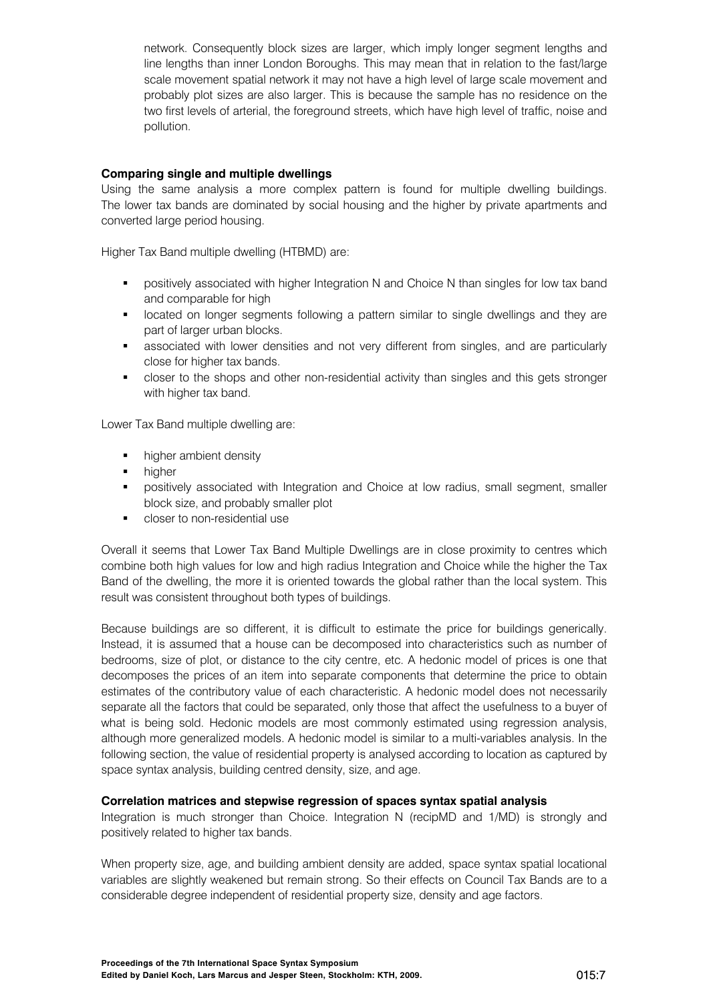network. Consequently block sizes are larger, which imply longer segment lengths and line lengths than inner London Boroughs. This may mean that in relation to the fast/large scale movement spatial network it may not have a high level of large scale movement and probably plot sizes are also larger. This is because the sample has no residence on the two first levels of arterial, the foreground streets, which have high level of traffic, noise and pollution.

## **Comparing single and multiple dwellings**

Using the same analysis a more complex pattern is found for multiple dwelling buildings. The lower tax bands are dominated by social housing and the higher by private apartments and converted large period housing.

Higher Tax Band multiple dwelling (HTBMD) are:

- **•** positively associated with higher Integration N and Choice N than singles for low tax band and comparable for high
- **I** located on longer segments following a pattern similar to single dwellings and they are part of larger urban blocks.
- **EXEDENT** associated with lower densities and not very different from singles, and are particularly close for higher tax bands.
- closer to the shops and other non-residential activity than singles and this gets stronger with higher tax band.

Lower Tax Band multiple dwelling are:

- **•** higher ambient density
- higher
- **•** positively associated with Integration and Choice at low radius, small segment, smaller block size, and probably smaller plot
- **•** closer to non-residential use

Overall it seems that Lower Tax Band Multiple Dwellings are in close proximity to centres which combine both high values for low and high radius Integration and Choice while the higher the Tax Band of the dwelling, the more it is oriented towards the global rather than the local system. This result was consistent throughout both types of buildings.

Because buildings are so different, it is difficult to estimate the price for buildings generically. Instead, it is assumed that a house can be decomposed into characteristics such as number of bedrooms, size of plot, or distance to the city centre, etc. A hedonic model of prices is one that decomposes the prices of an item into separate components that determine the price to obtain estimates of the contributory value of each characteristic. A hedonic model does not necessarily separate all the factors that could be separated, only those that affect the usefulness to a buyer of what is being sold. Hedonic models are most commonly estimated using regression analysis, although more generalized models. A hedonic model is similar to a multi-variables analysis. In the following section, the value of residential property is analysed according to location as captured by space syntax analysis, building centred density, size, and age.

#### **Correlation matrices and stepwise regression of spaces syntax spatial analysis**

Integration is much stronger than Choice. Integration N (recipMD and 1/MD) is strongly and positively related to higher tax bands.

When property size, age, and building ambient density are added, space syntax spatial locational variables are slightly weakened but remain strong. So their effects on Council Tax Bands are to a considerable degree independent of residential property size, density and age factors.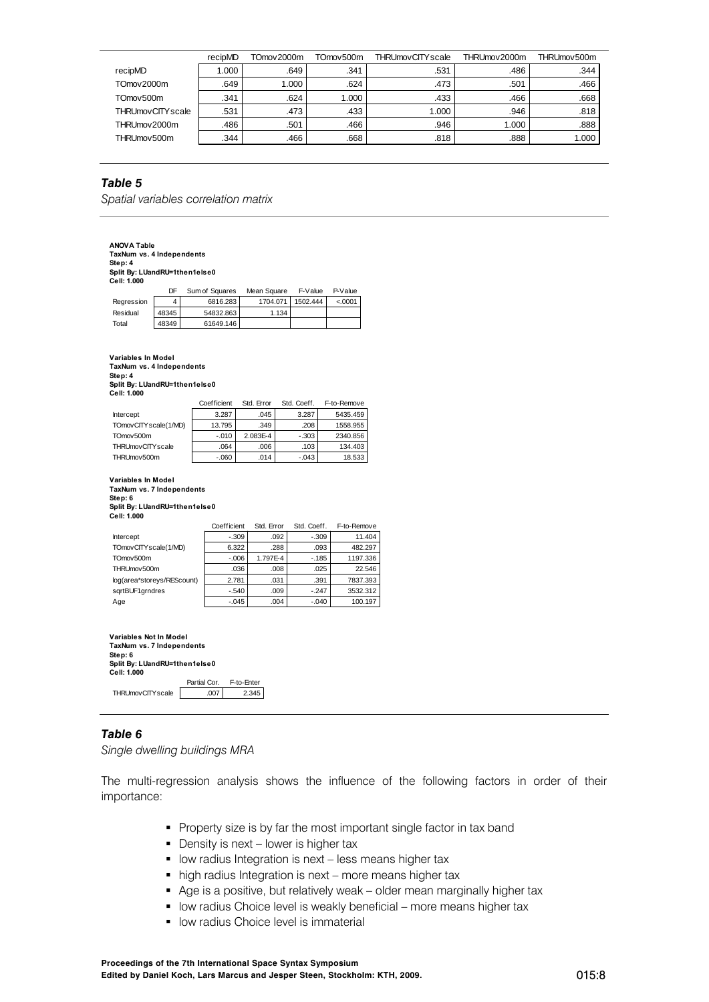|                          | recipMD | TOmov 2000m | TOmov <sub>500</sub> m | <b>THRUmovCITY</b> scale | THRUmov2000m | THRUmov500m |
|--------------------------|---------|-------------|------------------------|--------------------------|--------------|-------------|
| recipMD                  | 1.000   | .649        | .341                   | .531                     | .486         | .344        |
| TOmov2000m               | .649    | 1.000       | .624                   | .473                     | .501         | .466        |
| TOmov <sub>500</sub> m   | .341    | .624        | 1.000                  | .433                     | .466         | .668        |
| <b>THRUmovCITY</b> scale | .531    | .473        | .433                   | 1.000                    | .946         | .818        |
| THRUmov2000m             | .486    | .501        | .466                   | .946                     | 1.000        | .888        |
| THRUmov500m              | .344    | .466        | .668                   | .818                     | 888.         | 1.000       |

### *Table 5*

*Spatial variables correlation matrix* 

| <b>ANOVA Table</b><br>TaxNum vs. 4 Independents<br>Step: 4<br>Split By: LUandRU=1then1else0<br>Cell: 1.000     |                                                 |              |                |            |             |       |             |          |             |          |
|----------------------------------------------------------------------------------------------------------------|-------------------------------------------------|--------------|----------------|------------|-------------|-------|-------------|----------|-------------|----------|
|                                                                                                                | DF                                              |              | Sum of Squares |            | Mean Square |       | F-Value     |          | P-Value     |          |
| Regression                                                                                                     | 4                                               |              | 6816.283       |            | 1704.071    |       | 1502.444    |          | < 0001      |          |
| Residual                                                                                                       | 48345                                           |              | 54832.863      |            |             | 1.134 |             |          |             |          |
| Total                                                                                                          | 48349                                           |              | 61649.146      |            |             |       |             |          |             |          |
| Step: 4<br>Split By: LUandRU=1then1else0                                                                       | Variables In Model<br>TaxNum vs. 4 Independents |              |                |            |             |       |             |          |             |          |
| Cell: 1.000                                                                                                    |                                                 |              |                |            |             |       |             |          |             |          |
|                                                                                                                |                                                 |              | Coefficient    |            | Std. Error  |       | Std. Coeff. |          | F-to-Remove |          |
| Intercept                                                                                                      |                                                 |              | 3.287          |            | .045        |       | 3.287       |          | 5435.459    |          |
| TOmovCITY scale(1/MD)                                                                                          |                                                 |              | 13.795         |            | .349        |       | .208        |          | 1558.955    |          |
| TOmov500m                                                                                                      |                                                 |              | $-.010$        |            | 2.083E-4    |       | $-.303$     |          | 2340.856    |          |
| <b>THRUmovCITY</b> scale                                                                                       |                                                 |              | .064           |            | .006        |       | .103        |          | 134.403     |          |
| THRUmov500m                                                                                                    |                                                 |              | $-060$         |            | .014        |       | $-.043$     |          | 18.533      |          |
| Variables In Model<br>TaxNum vs. 7 Independents<br>Step: 6<br>Split By: LUandRU=1then1else0<br>Cell: 1.000     |                                                 |              |                |            |             |       |             |          |             |          |
|                                                                                                                |                                                 |              | Coefficient    |            | Std. Error  |       | Std. Coeff. |          | F-to-Remove |          |
| Intercept                                                                                                      |                                                 |              |                | $-.309$    |             | .092  |             | $-.309$  |             | 11.404   |
| TOmovCITY scale(1/MD)                                                                                          |                                                 |              |                | 6.322      |             | .288  |             | .093     |             | 482.297  |
| TOmov500m                                                                                                      |                                                 |              |                | $-0.006$   | 1.797E-4    |       |             | $-0.185$ |             | 1197.336 |
| THRUmov500m                                                                                                    |                                                 |              |                | .036       |             | .008  |             | .025     |             | 22.546   |
| log(area*storeys/REScount)                                                                                     |                                                 |              |                | 2.781      |             | .031  |             | .391     |             | 7837.393 |
| sqrtBUF1grndres                                                                                                |                                                 |              |                | $-.540$    |             | .009  |             | $-247$   | 3532.312    |          |
| Age                                                                                                            |                                                 |              |                | $-.045$    |             | .004  |             | $-0.040$ |             | 100.197  |
| Variables Not In Model<br>TaxNum vs. 7 Independents<br>Step: 6<br>Split By: LUandRU=1then1else0<br>Cell: 1.000 |                                                 | Partial Cor. |                | F-to-Enter |             |       |             |          |             |          |
| <b>THRUmovCITY</b> scale                                                                                       |                                                 |              | .007           |            | 2.345       |       |             |          |             |          |

### *Table 6*

*Single dwelling buildings MRA* 

The multi-regression analysis shows the influence of the following factors in order of their importance:

- Property size is by far the most important single factor in tax band
- Density is next lower is higher tax
- **I** low radius Integration is next less means higher tax
- high radius Integration is next more means higher tax
- Age is a positive, but relatively weak older mean marginally higher tax
- **I** low radius Choice level is weakly beneficial more means higher tax
- **IDOW radius Choice level is immaterial**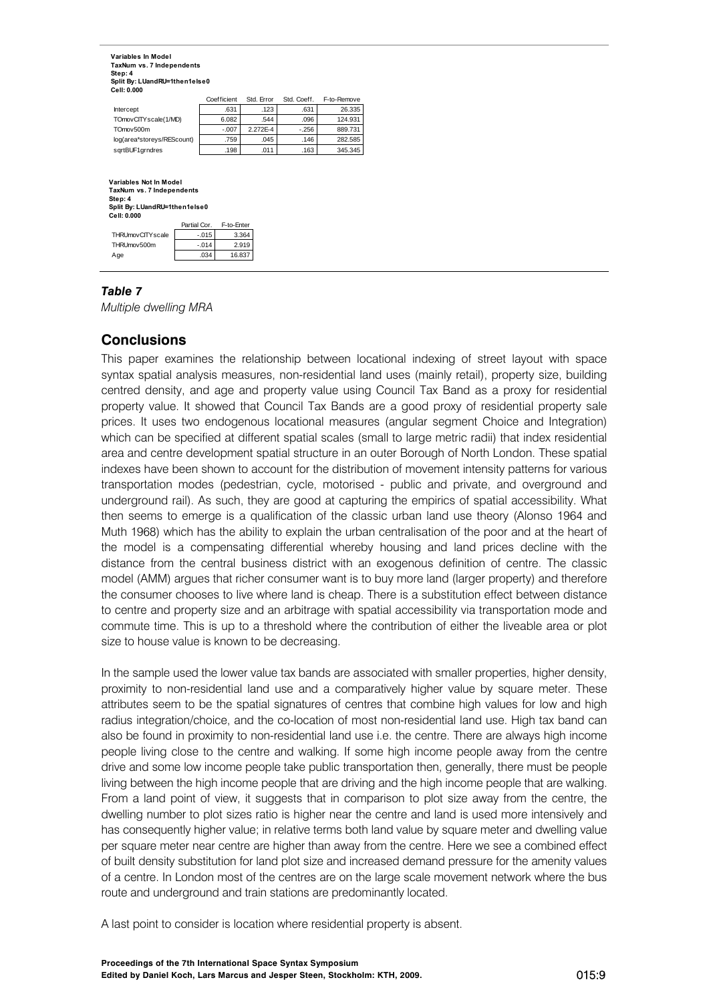**Variables In Model TaxNum vs. 7 Independents Step: 4 Split By: LUandRU=1then1else0 Cell: 0.000**

|                            | Coefficient | Std. Error | Std. Coeff. | F-to-Remove |
|----------------------------|-------------|------------|-------------|-------------|
| Intercept                  | .631        | .123       | .631        | 26.335      |
| TOmovCITY scale(1/MD)      | 6.082       | .544       | .096        | 124.931     |
| TOmov500m                  | $-.007$     | 2.272E-4   | $-256$      | 889.731     |
| log(area*storeys/REScount) | .759        | .045       | .146        | 282.585     |
| sqrtBUF1qrndres            | .198        | .011       | .163        | 345.345     |

#### $-.015$  3.364  $-014$  2.919 .034 16.837 Partial Cor. F-to-Enter THRUmovCITYscale THRUmov500m Age **Variables Not In Model TaxNum vs. 7 Independents Step: 4 Split By: LUandRU=1then1else0 Cell: 0.000**

## *Table 7*

*Multiple dwelling MRA* 

## **Conclusions**

This paper examines the relationship between locational indexing of street layout with space syntax spatial analysis measures, non-residential land uses (mainly retail), property size, building centred density, and age and property value using Council Tax Band as a proxy for residential property value. It showed that Council Tax Bands are a good proxy of residential property sale prices. It uses two endogenous locational measures (angular segment Choice and Integration) which can be specified at different spatial scales (small to large metric radii) that index residential area and centre development spatial structure in an outer Borough of North London. These spatial indexes have been shown to account for the distribution of movement intensity patterns for various transportation modes (pedestrian, cycle, motorised - public and private, and overground and underground rail). As such, they are good at capturing the empirics of spatial accessibility. What then seems to emerge is a qualification of the classic urban land use theory (Alonso 1964 and Muth 1968) which has the ability to explain the urban centralisation of the poor and at the heart of the model is a compensating differential whereby housing and land prices decline with the distance from the central business district with an exogenous definition of centre. The classic model (AMM) argues that richer consumer want is to buy more land (larger property) and therefore the consumer chooses to live where land is cheap. There is a substitution effect between distance to centre and property size and an arbitrage with spatial accessibility via transportation mode and commute time. This is up to a threshold where the contribution of either the liveable area or plot size to house value is known to be decreasing.

In the sample used the lower value tax bands are associated with smaller properties, higher density, proximity to non-residential land use and a comparatively higher value by square meter. These attributes seem to be the spatial signatures of centres that combine high values for low and high radius integration/choice, and the co-location of most non-residential land use. High tax band can also be found in proximity to non-residential land use i.e. the centre. There are always high income people living close to the centre and walking. If some high income people away from the centre drive and some low income people take public transportation then, generally, there must be people living between the high income people that are driving and the high income people that are walking. From a land point of view, it suggests that in comparison to plot size away from the centre, the dwelling number to plot sizes ratio is higher near the centre and land is used more intensively and has consequently higher value; in relative terms both land value by square meter and dwelling value per square meter near centre are higher than away from the centre. Here we see a combined effect of built density substitution for land plot size and increased demand pressure for the amenity values of a centre. In London most of the centres are on the large scale movement network where the bus route and underground and train stations are predominantly located.

A last point to consider is location where residential property is absent.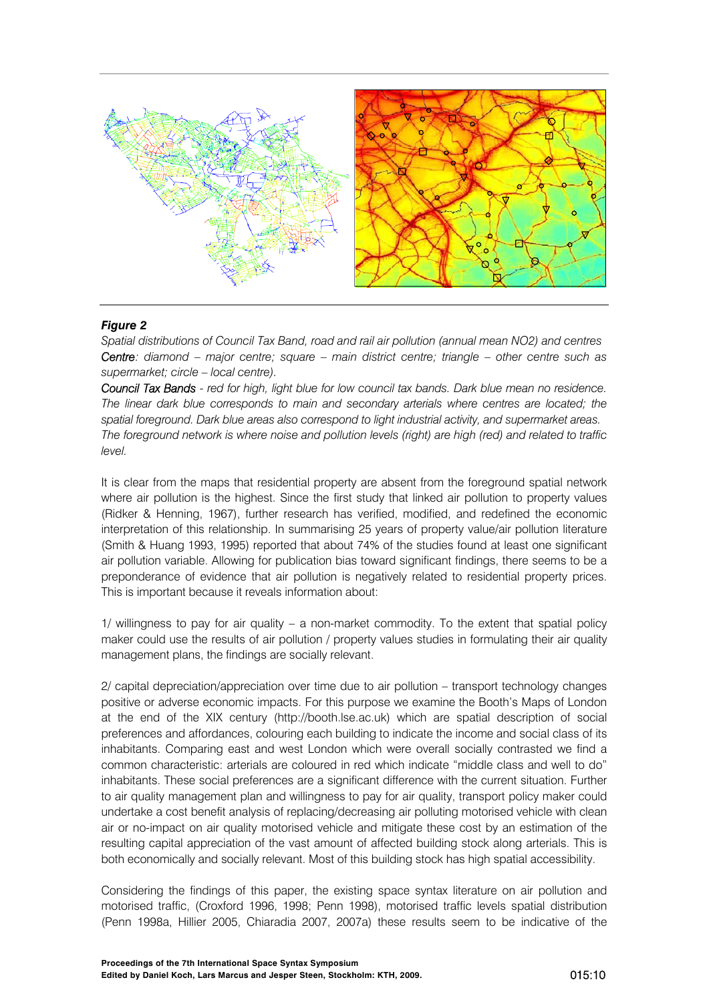

## *Figure 2*

*Spatial distributions of Council Tax Band, road and rail air pollution (annual mean NO2) and centres Centre: diamond – major centre; square – main district centre; triangle – other centre such as supermarket; circle – local centre).* 

*Council Tax Bands - red for high, light blue for low council tax bands. Dark blue mean no residence. The linear dark blue corresponds to main and secondary arterials where centres are located; the spatial foreground. Dark blue areas also correspond to light industrial activity, and supermarket areas. The foreground network is where noise and pollution levels (right) are high (red) and related to traffic level.* 

It is clear from the maps that residential property are absent from the foreground spatial network where air pollution is the highest. Since the first study that linked air pollution to property values (Ridker & Henning, 1967), further research has verified, modified, and redefined the economic interpretation of this relationship. In summarising 25 years of property value/air pollution literature (Smith & Huang 1993, 1995) reported that about 74% of the studies found at least one significant air pollution variable. Allowing for publication bias toward significant findings, there seems to be a preponderance of evidence that air pollution is negatively related to residential property prices. This is important because it reveals information about:

1/ willingness to pay for air quality – a non-market commodity. To the extent that spatial policy maker could use the results of air pollution / property values studies in formulating their air quality management plans, the findings are socially relevant.

2/ capital depreciation/appreciation over time due to air pollution – transport technology changes positive or adverse economic impacts. For this purpose we examine the Booth's Maps of London at the end of the XIX century (http://booth.lse.ac.uk) which are spatial description of social preferences and affordances, colouring each building to indicate the income and social class of its inhabitants. Comparing east and west London which were overall socially contrasted we find a common characteristic: arterials are coloured in red which indicate "middle class and well to do" inhabitants. These social preferences are a significant difference with the current situation. Further to air quality management plan and willingness to pay for air quality, transport policy maker could undertake a cost benefit analysis of replacing/decreasing air polluting motorised vehicle with clean air or no-impact on air quality motorised vehicle and mitigate these cost by an estimation of the resulting capital appreciation of the vast amount of affected building stock along arterials. This is both economically and socially relevant. Most of this building stock has high spatial accessibility.

Considering the findings of this paper, the existing space syntax literature on air pollution and motorised traffic, (Croxford 1996, 1998; Penn 1998), motorised traffic levels spatial distribution (Penn 1998a, Hillier 2005, Chiaradia 2007, 2007a) these results seem to be indicative of the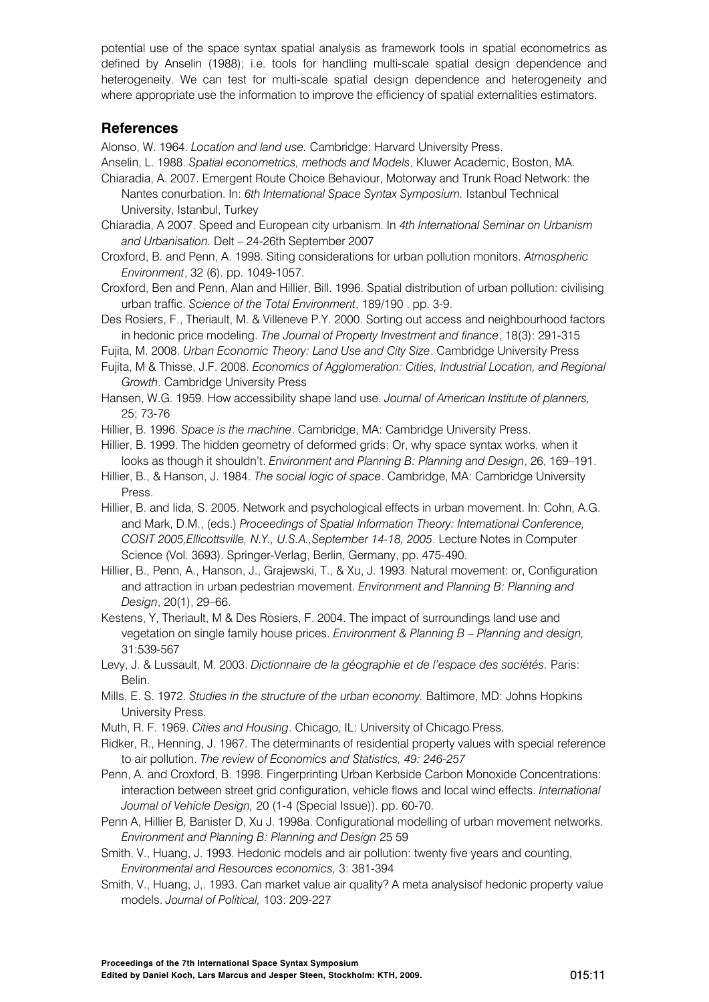potential use of the space syntax spatial analysis as framework tools in spatial econometrics as defined by Anselin (1988); i.e. tools for handling multi-scale spatial design dependence and heterogeneity. We can test for multi-scale spatial design dependence and heterogeneity and where appropriate use the information to improve the efficiency of spatial externalities estimators.

## **References**

Alonso, W. 1964. *Location and land use.* Cambridge: Harvard University Press.

- Anselin, L. 1988. *Spatial econometrics, methods and Models*, Kluwer Academic, Boston, MA.
- Chiaradia, A. 2007. Emergent Route Choice Behaviour, Motorway and Trunk Road Network: the Nantes conurbation. In: *6th International Space Syntax Symposium.* Istanbul Technical University, Istanbul, Turkey
- Chiaradia, A 2007. Speed and European city urbanism. In *4th International Seminar on Urbanism and Urbanisation.* Delt – 24-26th September 2007
- Croxford, B. and Penn, A. 1998. Siting considerations for urban pollution monitors. *Atmospheric Environment*, 32 (6). pp. 1049-1057.
- Croxford, Ben and Penn, Alan and Hillier, Bill. 1996. Spatial distribution of urban pollution: civilising urban traffic. *Science of the Total Environment*, 189/190 . pp. 3-9.
- Des Rosiers, F., Theriault, M. & Villeneve P.Y. 2000. Sorting out access and neighbourhood factors in hedonic price modeling. *The Journal of Property Investment and finance*, 18(3): 291-315
- Fujita, M. 2008. *Urban Economic Theory: Land Use and City Size*. Cambridge University Press
- Fujita, M & Thisse, J.F. 2008. *Economics of Agglomeration: Cities, Industrial Location, and Regional Growth*. Cambridge University Press
- Hansen, W.G. 1959. How accessibility shape land use. *Journal of American Institute of planners,*  25; 73-76
- Hillier, B. 1996. *Space is the machine*. Cambridge, MA: Cambridge University Press.

Hillier, B. 1999. The hidden geometry of deformed grids: Or, why space syntax works, when it looks as though it shouldn't. *Environment and Planning B: Planning and Design*, 26, 169–191.

- Hillier, B., & Hanson, J. 1984. *The social logic of space*. Cambridge, MA: Cambridge University Press.
- Hillier, B. and Iida, S. 2005. Network and psychological effects in urban movement. In: Cohn, A.G. and Mark, D.M., (eds.) *Proceedings of Spatial Information Theory: International Conference, COSIT 2005,Ellicottsville, N.Y., U.S.A.,September 14-18, 2005*. Lecture Notes in Computer Science (Vol. 3693). Springer-Verlag, Berlin, Germany, pp. 475-490.
- Hillier, B., Penn, A., Hanson, J., Grajewski, T., & Xu, J. 1993. Natural movement: or, Configuration and attraction in urban pedestrian movement. *Environment and Planning B: Planning and Design*, 20(1), 29–66.
- Kestens, Y, Theriault, M & Des Rosiers, F. 2004. The impact of surroundings land use and vegetation on single family house prices. *Environment & Planning B – Planning and design,* 31:539-567
- Levy, J. & Lussault, M. 2003. *Dictionnaire de la géographie et de l'espace des sociétés.* Paris: Belin.
- Mills, E. S. 1972. *Studies in the structure of the urban economy.* Baltimore, MD: Johns Hopkins University Press.
- Muth, R. F. 1969. *Cities and Housing*. Chicago, IL: University of Chicago Press.
- Ridker, R., Henning, J. 1967. The determinants of residential property values with special reference to air pollution. *The review of Economics and Statistics, 49: 246-257*
- Penn, A. and Croxford, B. 1998. Fingerprinting Urban Kerbside Carbon Monoxide Concentrations: interaction between street grid configuration, vehicle flows and local wind effects. *International Journal of Vehicle Design,* 20 (1-4 (Special Issue)). pp. 60-70.
- Penn A, Hillier B, Banister D, Xu J. 1998a. Configurational modelling of urban movement networks. *Environment and Planning B: Planning and Design* 25 59
- Smith, V., Huang, J. 1993. Hedonic models and air pollution: twenty five years and counting, *Environmental and Resources economics,* 3: 381-394
- Smith, V., Huang, J,. 1993. Can market value air quality? A meta analysisof hedonic property value models. *Journal of Political,* 103: 209-227